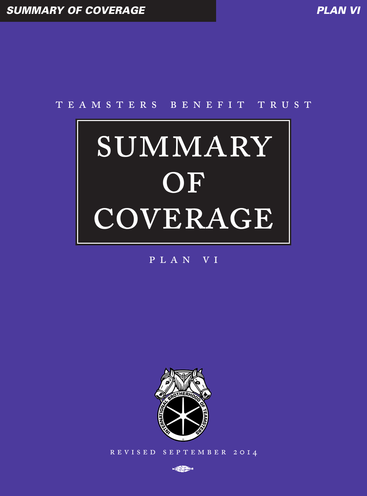# TEAMSTERS BENEFIT TRUST

# SUMMARY OF COVERAGE

# PLAN VI



REVISED SEPTEMBER 2014

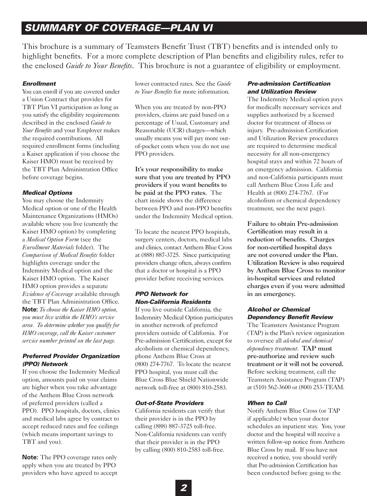# *SUMMARY OF COVERAGE—PLAN VI*

This brochure is a summary of Teamsters Benefit Trust (TBT) benefits and is intended only to highlight benefits. For a more complete description of Plan benefits and eligibility rules, refer to the enclosed *Guide to Your Benefits*. This brochure is not a guarantee of eligibility or employment.

# *Enrollment*

You can enroll if you are covered under a Union Contract that provides for TBT Plan VI participation as long as you satisfy the eligibility requirements described in the enclosed *Guide to Your Benefits* and your Employer makes the required contributions. All required enrollment forms (including a Kaiser application if you choose the Kaiser HMO) must be received by the TBT Plan Administration Office before coverage begins.

# *Medical Options*

You may choose the Indemnity Medical option or one of the Health Maintenance Organizations (HMOs) available where you live (currently the Kaiser HMO option) by completing a *Medical Option Form* (see the *Enrollment Materials* folder). The *Comparison of Medical Benefits* folder highlights coverage under the Indemnity Medical option and the Kaiser HMO option. The Kaiser HMO option provides a separate *Evidence of Coverage* available through the TBT Plan Administration Office. **Note:** *To choose the Kaiser HMO option, you must live within the HMO's service area. To determine whether you qualify for HMO coverage, call the Kaiser customer service number printed on the last page.*

# *Preferred Provider Organization (PPO) Network*

If you choose the Indemnity Medical option, amounts paid on your claims are higher when you take advantage of the Anthem Blue Cross network of preferred providers (called a PPO). PPO hospitals, doctors, clinics and medical labs agree by contract to accept reduced rates and fee ceilings (which means important savings to TBT and you).

**Note:** The PPO coverage rates only apply when you are treated by PPO providers who have agreed to accept lower contracted rates. See the *Guide to Your Benefits* for more information.

When you are treated by non-PPO providers, claims are paid based on a percentage of Usual, Customary and Reasonable (UCR) charges—which usually means you will pay more outof-pocket costs when you do not use PPO providers.

It's your responsibility to make sure that you are treated by PPO providers if you want benefits to be paid at the PPO rates. The chart inside shows the difference between PPO and non-PPO benefits under the Indemnity Medical option.

To locate the nearest PPO hospitals, surgery centers, doctors, medical labs and clinics, contact Anthem Blue Cross at (888) 887-3725. Since participating providers change often, always confirm that a doctor or hospital is a PPO provider before receiving services.

# *PPO Network for Non-California Residents*

If you live outside California, the Indemnity Medical Option participates in another network of preferred providers outside of California. For Pre-admission Certification, except for alcoholism or chemical dependency, phone Anthem Blue Cross at (800) 274-7767. To locate the nearest PPO hospital, you must call the Blue Cross Blue Shield Nationwide network toll-free at (800) 810-2583.

# *Out-of-State Providers*

California residents can verify that their provider is in the PPO by calling (888) 887-3725 toll-free. Non-California residents can verify that their provider is in the PPO by calling (800) 810-2583 toll-free.

# *Pre-admission Certification and Utilization Review*

The Indemnity Medical option pays for medically necessary services and supplies authorized by a licensed doctor for treatment of illness or injury. Pre-admission Certification and Utilization Review procedures are required to determine medical necessity for all non-emergency hospital stays and within 72 hours of an emergency admission. California and non-California participants must call Anthem Blue Cross Life and Health at (800) 274-7767. (For alcoholism or chemical dependency treatment, see the next page).

Failure to obtain Pre-admission Certification may result in a reduction of benefits. Charges for non-certified hospital days are not covered under the Plan. Utilization Review is also required by Anthem Blue Cross to monitor in-hospital services and related charges even if you were admitted in an emergency.

# *Alcohol or Chemical Dependency Benefit Review*

The Teamsters Assistance Program (TAP) is the Plan's review organization to oversee all *alcohol and chemical dependency treatment*. TAP must pre-authorize and review such treatment or it will not be covered. Before seeking treatment, call the Teamsters Assistance Program (TAP) at (510) 562-3600 or (800) 253-TEAM.

# *When to Call*

Notify Anthem Blue Cross (or TAP if applicable) when your doctor schedules an inpatient stay. You, your doctor and the hospital will receive a written follow-up notice from Anthem Blue Cross by mail. If you have not received a notice, you should verify that Pre-admission Certification has been conducted before going to the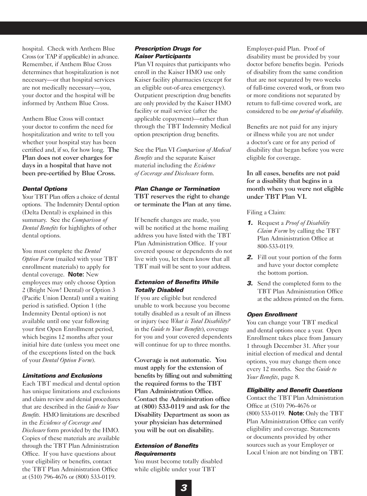hospital. Check with Anthem Blue Cross (or TAP if applicable) in advance. Remember, if Anthem Blue Cross determines that hospitalization is not necessary—or that hospital services are not medically necessary—you, your doctor and the hospital will be informed by Anthem Blue Cross.

Anthem Blue Cross will contact your doctor to confirm the need for hospitalization and write to tell you whether your hospital stay has been certified and, if so, for how long. The Plan does not cover charges for days in a hospital that have not been pre-certified by Blue Cross.

# *Dental Options*

Your TBT Plan offers a choice of dental options. The Indemnity Dental option (Delta Dental) is explained in this summary. See the *Comparison of Dental Benefits* for highlights of other dental options.

You must complete the *Dental Option Form* (mailed with your TBT enrollment materials) to apply for dental coverage. **Note:** New employees may only choose Option 2 (Bright Now! Dental) or Option 3 (Pacific Union Dental) until a waiting period is satisfied. Option 1 (the Indemnity Dental option) is not available until one year following your first Open Enrollment period, which begins 12 months after your initial hire date (unless you meet one of the exceptions listed on the back of your *Dental Option Form*).

# *Limitations and Exclusions*

Each TBT medical and dental option has unique limitations and exclusions and claim review and denial procedures that are described in the *Guide to Your Benefits*. HMO limitations are described in the *Evidence of Coverage and Disclosure* form provided by the HMO. Copies of these materials are available through the TBT Plan Administration Office. If you have questions about your eligibility or benefits, contact the TBT Plan Administration Office at (510) 796-4676 or (800) 533-0119.

# *Prescription Drugs for Kaiser Participants*

Plan VI requires that participants who enroll in the Kaiser HMO use only Kaiser facility pharmacies (except for an eligible out-of-area emergency). Outpatient prescription drug benefits are only provided by the Kaiser HMO facility or mail service (after the applicable copayment)—rather than through the TBT Indemnity Medical option prescription drug benefits.

See the Plan VI *Comparison of Medical Benefits* and the separate Kaiser material including the *Evidence of Coverage and Disclosure* form.

# *Plan Change or Termination*

TBT reserves the right to change or terminate the Plan at any time.

If benefit changes are made, you will be notified at the home mailing address you have listed with the TBT Plan Administration Office. If your covered spouse or dependents do not live with you, let them know that all TBT mail will be sent to your address.

# *Extension of Benefits While Totally Disabled*

If you are eligible but rendered unable to work because you become totally disabled as a result of an illness or injury (see *What is Total Disability?* in the *Guide to Your Benefits*), coverage for you and your covered dependents will continue for up to three months.

Coverage is not automatic. You must apply for the extension of benefits by filling out and submitting the required forms to the TBT Plan Administration Office. Contact the Administration office at (800) 533-0119 and ask for the Disability Department as soon as your physician has determined you will be out on disability.

# *Extension of Benefits Requirements*

You must become totally disabled while eligible under your TBT

Employer-paid Plan. Proof of disability must be provided by your doctor before benefits begin. Periods of disability from the same condition that are not separated by two weeks of full-time covered work, or from two or more conditions not separated by return to full-time covered work, are considered to be *one period of disability*.

Benefits are not paid for any injury or illness while you are not under a doctor's care or for any period of disability that began before you were eligible for coverage.

In all cases, benefits are not paid for a disability that begins in a month when you were not eligible under TBT Plan VI.

# Filing a Claim:

- *1.* Request a *Proof of Disability Claim Form* by calling the TBT Plan Administration Office at 800-533-0119.
- *2.* Fill out your portion of the form and have your doctor complete the bottom portion.
- *3.* Send the completed form to the TBT Plan Administration Office at the address printed on the form.

# *Open Enrollment*

You can change your TBT medical and dental options once a year. Open Enrollment takes place from January 1 through December 31. After your initial election of medical and dental options, you may change them once every 12 months. See the *Guide to Your Benefits*, page 8.

# *Eligibility and Benefit Questions*

Contact the TBT Plan Administration Office at (510) 796-4676 or (800) 533-0119. **Note:** Only the TBT Plan Administration Office can verify eligibility and coverage. Statements or documents provided by other sources such as your Employer or Local Union are not binding on TBT.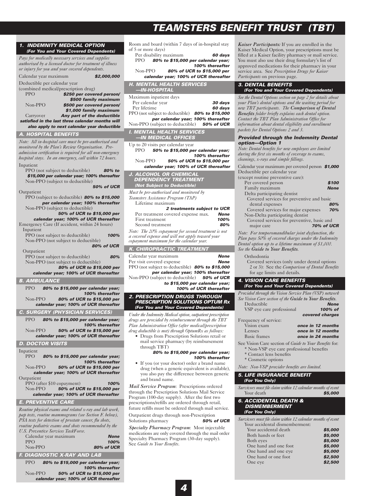# *TEAMSTERS BENEFIT TRUST (TBT)*

| 1. INDEMNITY MEDICAL OPTION                                                                                         | Room and board (within 7 days of in-hospital stay                                                         |
|---------------------------------------------------------------------------------------------------------------------|-----------------------------------------------------------------------------------------------------------|
| (For You and Your Covered Dependents)                                                                               | of 5 or more days)<br>Per disability maximum<br>60 days                                                   |
| Pays for medically necessary services and supplies                                                                  | PPO.<br>80% to \$15,000 per calendar year;                                                                |
| authorized by a licensed doctor for treatment of illness<br>or injury for you and your covered dependents.          | 100% thereafter<br>Non-PPO<br>80% of UCR to \$15,000 per                                                  |
| Calendar year maximum<br>\$2,000,000                                                                                | calendar year; 100% of UCR thereafter                                                                     |
| Deductible per calendar year                                                                                        | <b>H. MENTAL HEALTH SERVICES</b>                                                                          |
| (combined medical/prescription drug)<br><b>PPO</b><br>\$250 per covered person/                                     | —IN-HOSPITAL                                                                                              |
| \$500 family maximum                                                                                                | Maximum inpatient days<br>Per calendar year<br>30 days                                                    |
| $Non-PPO$<br>\$500 per covered person/<br>\$1,000 family maximum                                                    | Per lifetime<br>60 days                                                                                   |
| Any part of the deductible<br>Carryover                                                                             | PPO (not subject to deductible) <b>80% to \$15,000</b>                                                    |
| satisfied in the last three calendar months will                                                                    | per calendar year; 100% thereafter<br>Non-PPO (subject to deductible)<br><b>50% of UCR</b>                |
| also apply to next calendar year deductible<br><b>A. HOSPITAL BENEFITS</b>                                          | <b>I. MENTAL HEALTH SERVICES</b>                                                                          |
| Note: All in-hospital care must be pre-authorized and                                                               | -IN MEDICAL OFFICES                                                                                       |
| monitored by the Plan's Review Organization. Pre-                                                                   | Up to 20 visits per calendar year<br>50% to \$15,000 per calendar year;<br>PPO.                           |
| admission certification is required for all non-emergency<br>hospital stays. In an emergency, call within 72 hours. | 100% thereafter                                                                                           |
| Inpatient                                                                                                           | Non-PPO<br>50% of UCR to \$15,000 per<br>calendar year; 100% of UCR thereafter                            |
| PPO (not subject to deductible)<br>80% to                                                                           | <b>J. ALCOHOL OR CHEMICAL</b>                                                                             |
| \$15,000 per calendar year; 100% thereafter<br>Non-PPO (subject to deductible)                                      | <b>DEPENDENCY TREATMENT</b>                                                                               |
| <b>50% of UCR</b>                                                                                                   | (Not Subject to Deductible)                                                                               |
| Outpatient<br>PPO (subject to deductible) 80% to \$15,000                                                           | Must be pre-authorized and monitored by                                                                   |
| per calendar year; 100% thereafter                                                                                  | Teamsters Assistance Program (TAP)<br>Lifetime maximum                                                    |
| Non-PPO (subject to deductible)                                                                                     | 2 treatments subject to UCR                                                                               |
| 50% of UCR to \$15,000 per<br>calendar year; 100% of UCR thereafter                                                 | Per treatment covered expense max.<br><b>None</b><br>First treatment<br>100%                              |
| Emergency Care (If accident, within 24 hours)                                                                       | 80%<br>Second treatment                                                                                   |
| Inpatient<br>PPO (not subject to deductible)<br>100%                                                                | Note: The 20% copayment for second treatment is not<br>a covered expense and will not apply toward your   |
| Non-PPO (not subject to deductible)                                                                                 | copayment maximum for the calendar year.                                                                  |
| <b>80% of UCR</b><br>Outpatient                                                                                     | <b>K. CHIROPRACTIC TREATMENT</b>                                                                          |
| PPO (not subject to deductible)<br>80%                                                                              | <b>None</b><br>Calendar year maximum                                                                      |
|                                                                                                                     |                                                                                                           |
| Non-PPO (not subject to deductible)                                                                                 | Per visit covered expense<br><b>None</b>                                                                  |
| 80% of UCR to \$15,000 per<br>calendar year; 100% of UCR thereafter                                                 | PPO (not subject to deductible) 80% to \$15,000<br>per calendar year; 100% thereafter                     |
| <b>B. AMBULANCE</b>                                                                                                 | Non-PPO (subject to deductible)<br><b>50% of UCR</b><br>to \$15,000 per calendar year;                    |
| <b>PPO</b><br>80% to \$15,000 per calendar year;                                                                    | 100% of UCR thereafter                                                                                    |
| 100% thereafter<br>$Non-PPO$<br>80% of UCR to \$15,000 per                                                          | <b>2. PRESCRIPTION DRUGS THROUGH</b>                                                                      |
| calendar year; 100% of UCR thereafter                                                                               | <b>PRESCRIPTION SOLUTIONS OPTUM Rx</b>                                                                    |
| <b>C. SURGERY (PHYSICIAN SERVICES)</b>                                                                              | (For You and Your Covered Dependents)<br>Under the Indemnity Medical option, outpatient prescription      |
| <b>PPO</b><br>80% to \$15,000 per calendar year;                                                                    | drugs are provided by reimbursement through the TBT                                                       |
| 100% thereafter<br>Non-PPO<br>50% of UCR to \$15,000 per                                                            | Plan Administration Office (after medical/prescription                                                    |
| calendar year; 100% of UCR thereafter                                                                               | drug deductible is met) through OptumRx as follows:<br>• Drugs from Prescription Solutions retail or      |
| D. DOCTOR VISITS                                                                                                    | mail service pharmacy (by reimbursement                                                                   |
| Inpatient                                                                                                           | through TBT)<br>80% to \$15,000 per calendar year;                                                        |
| <b>PPO</b><br>80% to \$15,000 per calendar year;<br>100% thereafter                                                 | 100% thereafter                                                                                           |
| $Non-PPO$<br>50% of UCR to \$15,000 per                                                                             | • If you (or your doctor) order a brand name<br>drug (when a generic equivalent is available),            |
| calendar year; 100% of UCR thereafter<br>Outpatient                                                                 | you also pay the difference between generic                                                               |
| PPO (after \$10 copayment)<br>100%                                                                                  | and brand name.                                                                                           |
| Non-PPO<br>50% of UCR to \$15,000 per<br>calendar year; 100% of UCR thereafter                                      | Mail Service Program: Prescriptions ordered<br>through the Prescription Solutions Mail Service            |
| <b>E. PREVENTIVE CARE</b>                                                                                           | Program (100-day supply). After the first two                                                             |
| Routine physical exams and related x-ray and lab work,                                                              | prescriptions/refills are ordered through retail,<br>future refills must be ordered through mail service. |
| pap tests, routine mammograms (see Section F. below),                                                               | Outpatient drugs through non-Prescription                                                                 |
| PSA tests for detection of prostate cancer, flu shots,<br>routine pediatric exams and shots recommended by the      | <b>50% of UCR</b><br>Solutions pharmacy                                                                   |
| <b>U.S. Preventive Services TaskForce.</b>                                                                          | Specialty Pharmacy Program: Most injectable<br>medications are only covered through the mail order        |
| Calendar year maximum<br><b>None</b><br><b>PPO</b><br>100%                                                          | Specialty Pharmacy Program (30-day supply).                                                               |
| Non-PPO<br>80% of UCR                                                                                               | See Guide to Your Benefits.                                                                               |

PPO *80% to \$15,000 per calendar year;*

Non-PPO *50% of UCR to \$15,000 per calendar year; 100% of UCR thereafter*

*100% thereafter*

*Kaiser Participants:* If you are enrolled in the Kaiser Medical Option, your prescriptions must be filled at a Kaiser facility pharmacy or mail service. You must also use their drug formulary's list of approved medications for their pharmacy in your service area. See *Prescription Drugs for Kaiser Participants* on previous page.

## *3. DENTAL BENEFITS (For You and Your Covered Dependents)*

*See the Dental Options section on page 2 for details about your Plan's dental options and the waiting period for new TBT participants. The Comparison of Dental Benefits folder briefly explains each dental option. Contact the TBT Plan Administration Office for information about dental eligibility and enrollment packets for Dental Options 2 and 3.*

## *Provided through the Indemnity Dental option—Option 1*

*Note: Dental benefits for new employees are limited during the first six months of coverage to exams, cleanings, x-rays and simple fillings.*

| Calendar year maximum per covered person \$1,000 |                   |
|--------------------------------------------------|-------------------|
| Deductible per calendar year                     |                   |
| (except routine preventive care):                |                   |
| Per covered person                               | \$100             |
| Family maximum                                   | <b>None</b>       |
| Delta participating dentist                      |                   |
| Covered services for preventive and basic        |                   |
| dental expenses                                  | 80%               |
| Covered services for major expenses              | 70%               |
| Non-Delta participating dentist                  |                   |
| Covered services for preventive, basic and       |                   |
| major care                                       | <b>70% of UCR</b> |
|                                                  |                   |

*Note: For temporomandibular joint dysfunction, the Plan pays 50% of covered charges under the Indemnity Dental option up to a lifetime maximum of \$1,000. See the Guide to Your Benefits.*

Orthodontia

Covered services (only under dental options 2 or 3): See the *Comparison of Dental Benefits* for age limits and details.

## *4. VISION CARE BENEFITS (For You and Your Covered Dependents)*

| Provided through the Vision Service Plan (VSP) network<br>See Vision Care section of the Guide to Your Benefits. |                   |
|------------------------------------------------------------------------------------------------------------------|-------------------|
| Deductible                                                                                                       | <b>None</b>       |
| VSP eye care professional                                                                                        | 100% of           |
|                                                                                                                  | covered charges   |
| Frequency of service:                                                                                            |                   |
| Vision exam                                                                                                      | once in 12 months |
| Lenses                                                                                                           | once in 12 months |
| <b>Basic frames</b>                                                                                              | once in 24 months |

See Vision Care section of *Guide to Your Benefits* for: \* Non-VSP eye care professional benefits

- Contact lens benefits
- Cosmetic options

*Note: Non-VSP provider benefits are limited.*

## *5. LIFE INSURANCE BENEFIT (For You Only)*

*Survivors must file claim within 12 calendar months of event* Your death *\$5,000*

### *6. ACCIDENTAL DEATH & DISMEMBERMENT (For You Only)*

*Survivors must file claim within 12 calendar months of event*

| Your accidental dismemberment: |         |
|--------------------------------|---------|
| Your accidental death          | \$5,000 |
| Both hands or feet             | \$5,000 |
| Both eyes                      | \$5,000 |
| One hand and one foot          | \$5,000 |
| One hand and one eye           | \$5,000 |
| One hand or one foot           | \$2,500 |
| One eye                        | \$2,500 |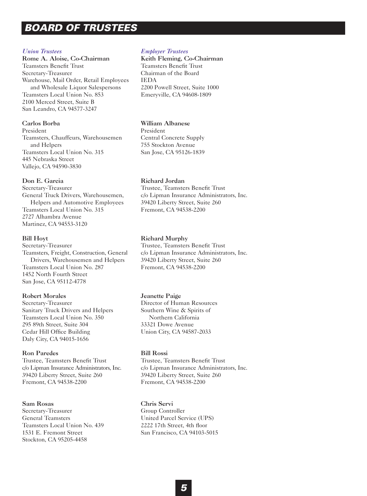# *BOARD OF TRUSTEES*

# *Union Trustees*

Rome A. Aloise, Co-Chairman Teamsters Benefit Trust Secretary-Treasurer Warehouse, Mail Order, Retail Employees and Wholesale Liquor Salespersons Teamsters Local Union No. 853 2100 Merced Street, Suite B San Leandro, CA 94577-3247

# Carlos Borba

President Teamsters, Chauffeurs, Warehousemen and Helpers Teamsters Local Union No. 315 445 Nebraska Street Vallejo, CA 94590-3830

# Don E. Garcia

Secretary-Treasurer General Truck Drivers, Warehousemen, Helpers and Automotive Employees Teamsters Local Union No. 315 2727 Alhambra Avenue Martinez, CA 94553-3120

# Bill Hoyt

Secretary-Treasurer Teamsters, Freight, Construction, General Drivers, Warehousemen and Helpers Teamsters Local Union No. 287 1452 North Fourth Street San Jose, CA 95112-4778

# Robert Morales

Secretary-Treasurer Sanitary Truck Drivers and Helpers Teamsters Local Union No. 350 295 89th Street, Suite 304 Cedar Hill Office Building Daly City, CA 94015-1656

# Ron Paredes

Trustee, Teamsters Benefit Trust c/o Lipman Insurance Administrators, Inc. 39420 Liberty Street, Suite 260 Fremont, CA 94538-2200

# Sam Rosas

Secretary-Treasurer General Teamsters Teamsters Local Union No. 439 1531 E. Fremont Street Stockton, CA 95205-4458

# *Employer Trustees*

Keith Fleming, Co-Chairman Teamsters Benefit Trust Chairman of the Board IEDA 2200 Powell Street, Suite 1000 Emeryville, CA 94608-1809

# William Albanese

President Central Concrete Supply 755 Stockton Avenue San Jose, CA 95126-1839

# Richard Jordan

Trustee, Teamsters Benefit Trust c/o Lipman Insurance Administrators, Inc. 39420 Liberty Street, Suite 260 Fremont, CA 94538-2200

# Richard Murphy

Trustee, Teamsters Benefit Trust c/o Lipman Insurance Administrators, Inc. 39420 Liberty Street, Suite 260 Fremont, CA 94538-2200

# Jeanette Paige

Director of Human Resources Southern Wine & Spirits of Northern California 33321 Dowe Avenue Union City, CA 94587-2033

# Bill Rossi

Trustee, Teamsters Benefit Trust c/o Lipman Insurance Administrators, Inc. 39420 Liberty Street, Suite 260 Fremont, CA 94538-2200

# Chris Servi Group Controller United Parcel Service (UPS) 2222 17th Street, 4th floor San Francisco, CA 94103-5015